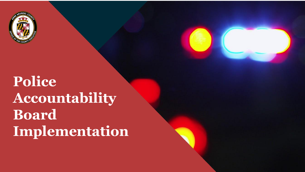

# **Police Accountability Board Implementation**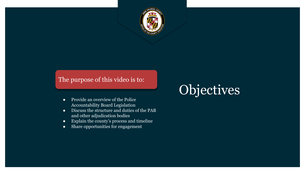

#### The purpose of this video is to:

- Provide an overview of the Police Accountability Board Legislation
- Discuss the structure and duties of the PAB and other adjudication bodies
- Explain the county's process and timeline
- Share opportunities for engagement

# Objectives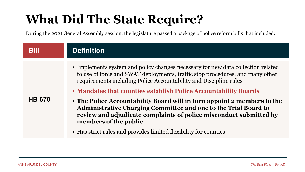## **What Did The State Require?**

During the 2021 General Assembly session, the legislature passed a package of police reform bills that included:

| Bill          | <b>Definition</b>                                                                                                                                                                                                                                                                                                                                                                                                                                                                                                                                                                                                          |
|---------------|----------------------------------------------------------------------------------------------------------------------------------------------------------------------------------------------------------------------------------------------------------------------------------------------------------------------------------------------------------------------------------------------------------------------------------------------------------------------------------------------------------------------------------------------------------------------------------------------------------------------------|
| <b>HB 670</b> | • Implements system and policy changes necessary for new data collection related<br>to use of force and SWAT deployments, traffic stop procedures, and many other<br>requirements including Police Accountability and Discipline rules<br>• Mandates that counties establish Police Accountability Boards<br>• The Police Accountability Board will in turn appoint 2 members to the<br>Administrative Charging Committee and one to the Trial Board to<br>review and adjudicate complaints of police misconduct submitted by<br>members of the public<br>• Has strict rules and provides limited flexibility for counties |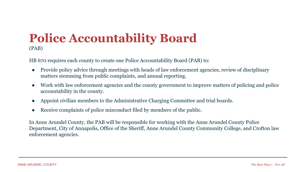### **Police Accountability Board**  (PAB)

HB 670 requires each county to create one Police Accountability Board (PAB) to:

- Provide policy advice through meetings with heads of law enforcement agencies, review of disciplinary matters stemming from public complaints, and annual reporting.
- Work with law enforcement agencies and the county government to improve matters of policing and police accountability in the county.
- Appoint civilian members to the Administrative Charging Committee and trial boards.
- Receive complaints of police misconduct filed by members of the public.

In Anne Arundel County, the PAB will be responsible for working with the Anne Arundel County Police Department, City of Annapolis, Office of the Sheriff, Anne Arundel County Community College, and Crofton law enforcement agencies.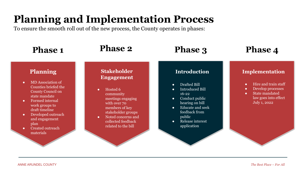## **Planning and Implementation Process**

To ensure the smooth roll out of the new process, the County operates in phases:

| <b>Phase 1</b>                                                                                                                                                                                                                                                                                 | <b>Phase 2</b>                                                                                                                                                                                                                             | <b>Phase 3</b>                                                                                                                                                                                                                     | <b>Phase 4</b>                                                                                                                                                             |
|------------------------------------------------------------------------------------------------------------------------------------------------------------------------------------------------------------------------------------------------------------------------------------------------|--------------------------------------------------------------------------------------------------------------------------------------------------------------------------------------------------------------------------------------------|------------------------------------------------------------------------------------------------------------------------------------------------------------------------------------------------------------------------------------|----------------------------------------------------------------------------------------------------------------------------------------------------------------------------|
| <b>Planning</b><br>MD Association of<br>$\bullet$<br>Counties briefed the<br>County Council on<br>state mandate<br>Formed internal<br>$\bullet$<br>work groups to<br>draft timeline<br>Developed outreach<br>$\bullet$<br>and engagement<br>plan<br>Created outreach<br>$\bullet$<br>materials | <b>Stakeholder</b><br><b>Engagement</b><br>Hosted 6<br>$\bullet$<br>community<br>meetings engaging<br>with over 70<br>members of key<br>stakeholder groups<br>Noted concerns and<br>$\bullet$<br>collected feedback<br>related to the bill | <b>Introduction</b><br>Drafted Bill<br><b>Introduced Bill</b><br>$16 - 22$<br>Conduct public<br>$\bullet$<br>hearing on bill<br><b>Educate and seek</b><br>$\bullet$<br>feedback from<br>public<br>Release interest<br>application | <b>Implementation</b><br>Hire and train staff<br>$\bullet$<br>Develop processes<br>$\bullet$<br><b>State mandated</b><br>$\bullet$<br>law goes into effect<br>July 1, 2022 |
|                                                                                                                                                                                                                                                                                                |                                                                                                                                                                                                                                            |                                                                                                                                                                                                                                    |                                                                                                                                                                            |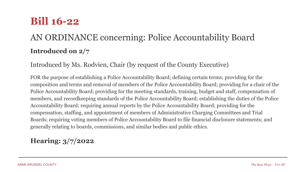## **Bill 16-22**

## AN ORDINANCE concerning: Police Accountability Board **Introduced on 2/7**

Introduced by Ms. Rodvien, Chair (by request of the County Executive)

FOR the purpose of establishing a Police Accountability Board; defining certain terms; providing for the composition and terms and removal of members of the Police Accountability Board; providing for a chair of the Police Accountability Board; providing for the meeting standards, training, budget and staff, compensation of members, and recordkeeping standards of the Police Accountability Board; establishing the duties of the Police Accountability Board; requiring annual reports by the Police Accountability Board; providing for the compensation, staffing, and appointment of members of Administrative Charging Committees and Trial Boards; requiring voting members of Police Accountability Board to file financial disclosure statements; and generally relating to boards, commissions, and similar bodies and public ethics.

#### **Hearing: 3/7/2022**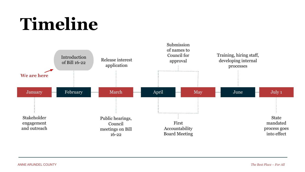# **Timeline**

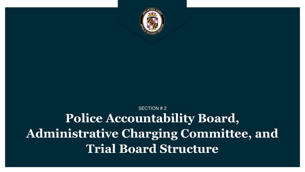

## SECTION # 2 **Police Accountability Board, Administrative Charging Committee, and Trial Board Structure**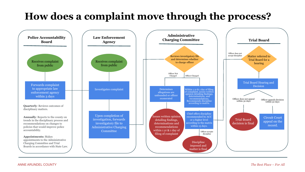## **How does a complaint move through the process?**

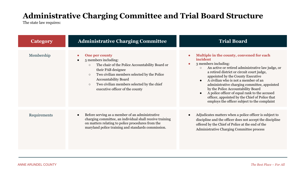### **Administrative Charging Committee and Trial Board Structure**

The state law requires:

| <b>Category</b> | <b>Administrative Charging Committee</b>                                                                                                                                                                                                                                                                                            | <b>Trial Board</b>                                                                                                                                                                                                                                                                                                                                                                                                                                                                                                |
|-----------------|-------------------------------------------------------------------------------------------------------------------------------------------------------------------------------------------------------------------------------------------------------------------------------------------------------------------------------------|-------------------------------------------------------------------------------------------------------------------------------------------------------------------------------------------------------------------------------------------------------------------------------------------------------------------------------------------------------------------------------------------------------------------------------------------------------------------------------------------------------------------|
| Membership      | <b>One per county</b><br>$\bullet$<br>5 members including:<br>The chair of the Police Accountability Board or<br>$\circ$<br>their PAB designee<br>Two civilian members selected by the Police<br>$\circ$<br><b>Accountability Board</b><br>Two civilian members selected by the chief<br>$\circ$<br>executive officer of the county | Multiple in the county, convened for each<br>incident<br>3 members including:<br>An active or retired administrative law judge, or<br>$\circ$<br>a retired district or circuit court judge,<br>appointed by the County Executive<br>A civilian who is not a member of an<br>administrative charging committee, appointed<br>by the Police Accountability Board<br>A police officer of equal rank to the accused<br>officer, appointed by the Chief of Police that<br>employs the officer subject to the complaint |
| Requirements    | Before serving as a member of an administrative<br>charging committee, an individual shall receive training<br>on matters relating to police procedures from the<br>maryland police training and standards commission.                                                                                                              | Adjudicates matters when a police officer is subject to<br>discipline and the officer does not accept the discipline<br>offered by the Chief of Police at the end of the<br>Administrative Charging Committee process                                                                                                                                                                                                                                                                                             |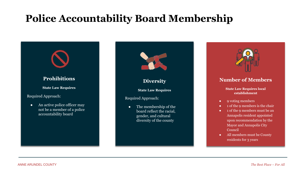## **Police Accountability Board Membership**





#### **Number of Members**

**State Law Requires local establishment**

- 9 voting members
- 1 of the 9 members is the chair
- 1 of the 9 members must be an Annapolis resident appointed upon recommendation by the Mayor and Annapolis City Council
- All members must be County residents for 3 years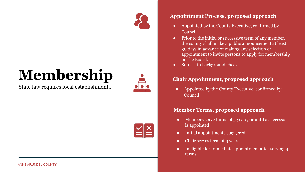

# **Membership**

State law requires local establishment…





#### **Appointment Process, proposed approach**

- Appointed by the County Executive, confirmed by Council
- Prior to the initial or successive term of any member, the county shall make a public announcement at least 30 days in advance of making any selection or appointment to invite persons to apply for membership on the Board.
- Subject to background check

#### **Chair Appointment, proposed approach**

• Appointed by the County Executive, confirmed by Council

#### **Member Terms, proposed approach**

- Members serve terms of 3 years, or until a successor is appointed
- Initial appointments staggered
- Chair serves term of 3 years
- Ineligible for immediate appointment after serving 3 terms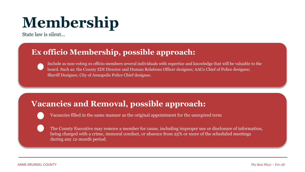# **Membership**

State law is silent…

### **Ex officio Membership, possible approach:**

Include as non-voting ex officio members several individuals with expertise and knowledge that will be valuable to the board. Such as: the County EDI Director and Human Relations Officer designee; AACo Chief of Police designee; Sheriff Designee, City of Annapolis Police Chief designee.

### **Vacancies and Removal, possible approach:**

Vacancies filled in the same manner as the original appointment for the unexpired term

The County Executive may remove a member for cause, including improper use or disclosure of information, being charged with a crime, immoral conduct, or absence from 25% or more of the scheduled meetings during any 12-month period.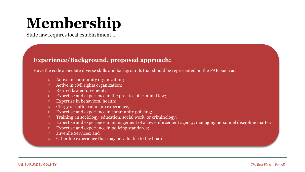# **Membership**

State law requires local establishment…

#### **Experience/Background, proposed approach:**

Have the code articulate diverse skills and backgrounds that should be represented on the PAB, such as:

- Active in community organization;
- Active in civil rights organization;
- Retired law enforcement;
- Expertise and experience in the practice of criminal law;
- Expertise in behavioral health;
- Clergy or faith leadership experience;
- Expertise and experience in community policing;
- Training in sociology, education, social work, or criminology;
- Expertise and experience in management of a law enforcement agency, managing personnel discipline matters;
- Expertise and experience in policing standards;
- Juvenile Services; and
- Other life experience that may be valuable to the board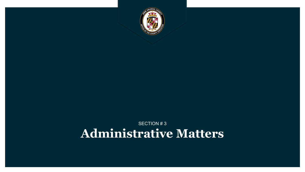

### SECTION # 3 **Administrative Matters**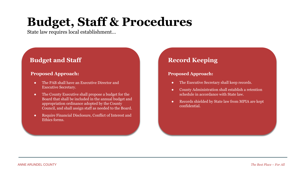# **Budget, Staff & Procedures**

State law requires local establishment…

#### **Budget and Staff**

#### **Proposed Approach:**

- The PAB shall have an Executive Director and Executive Secretary.
- The County Executive shall propose a budget for the Board that shall be included in the annual budget and appropriation ordinance adopted by the County Council, and shall assign staff as needed to the Board.
- Require Financial Disclosure, Conflict of Interest and Ethics forms.

#### **Record Keeping**

#### **Proposed Approach:**

- The Executive Secretary shall keep records.
- County Administration shall establish a retention schedule in accordance with State law.
- Records shielded by State law from MPIA are kept confidential.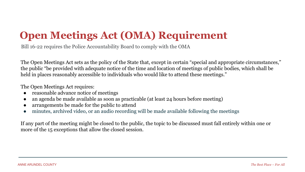## **Open Meetings Act (OMA) Requirement**

Bill 16-22 requires the Police Accountability Board to comply with the OMA

The Open Meetings Act sets as the policy of the State that, except in certain "special and appropriate circumstances," the public "be provided with adequate notice of the time and location of meetings of public bodies, which shall be held in places reasonably accessible to individuals who would like to attend these meetings."

The Open Meetings Act requires:

- reasonable advance notice of meetings
- an agenda be made available as soon as practicable (at least 24 hours before meeting)
- arrangements be made for the public to attend
- minutes, archived video, or an audio recording will be made available following the meetings

If any part of the meeting might be closed to the public, the topic to be discussed must fall entirely within one or more of the 15 exceptions that allow the closed session.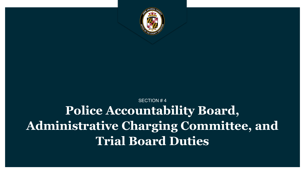

## SECTION # 4 **Police Accountability Board, Administrative Charging Committee, and Trial Board Duties**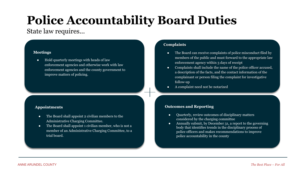# **Police Accountability Board Duties**

#### State law requires...

#### **Meetings**

● Hold quarterly meetings with heads of law enforcement agencies and otherwise work with law enforcement agencies and the county government to improve matters of policing.

#### **Appointments**

- The Board shall appoint 2 civilian members to the Administrative Charging Committee.
- The Board shall appoint 1 civilian member, who is not a member of an Administrative Charging Committee, to a trial board.

#### **Complaints**

- The Board can receive complaints of police misconduct filed by members of the public and must forward to the appropriate law enforcement agency within 3 days of receipt
- Complaints shall include the name of the police officer accused, a description of the facts, and the contact information of the complainant or person filing the complaint for investigative follow-up
- A complaint need not be notarized

#### **Outcomes and Reporting**

- Quarterly, review outcomes of disciplinary matters considered by the charging committee
- Annually submit, by December 31, a report to the governing body that identifies trends in the disciplinary process of police officers and makes recommendations to improve police accountability in the county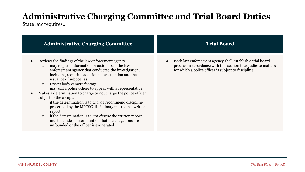## **Administrative Charging Committee and Trial Board Duties**

State law requires…

| <b>Administrative Charging Committee</b>                                                                                                                                                                                                                                                                                                                                                                                                                                                                                                                                                                                                                                                                                                                                                                        | <b>Trial Board</b>                                                                                                                                                                 |
|-----------------------------------------------------------------------------------------------------------------------------------------------------------------------------------------------------------------------------------------------------------------------------------------------------------------------------------------------------------------------------------------------------------------------------------------------------------------------------------------------------------------------------------------------------------------------------------------------------------------------------------------------------------------------------------------------------------------------------------------------------------------------------------------------------------------|------------------------------------------------------------------------------------------------------------------------------------------------------------------------------------|
| Reviews the findings of the law enforcement agency<br>may request information or action from the law<br>$\circ$<br>enforcement agency that conducted the investigation,<br>including requiring additional investigation and the<br>issuance of subpoenas<br>review body camera footage<br>$\circ$<br>may call a police officer to appear with a representative<br>$\circ$<br>Makes a determination to charge or not charge the police officer<br>subject to the complaint<br>if the determination is to <i>charge</i> recommend discipline<br>$\bigcirc$<br>prescribed by the MPTSC disciplinary matrix in a written<br>report<br>if the determination is to <i>not charge</i> the written report<br>$\circ$<br>must include a determination that the allegations are<br>unfounded or the officer is exonerated | Each law enforcement agency shall establish a trial board<br>process in accordance with this section to adjudicate matters<br>for which a police officer is subject to discipline. |
|                                                                                                                                                                                                                                                                                                                                                                                                                                                                                                                                                                                                                                                                                                                                                                                                                 |                                                                                                                                                                                    |